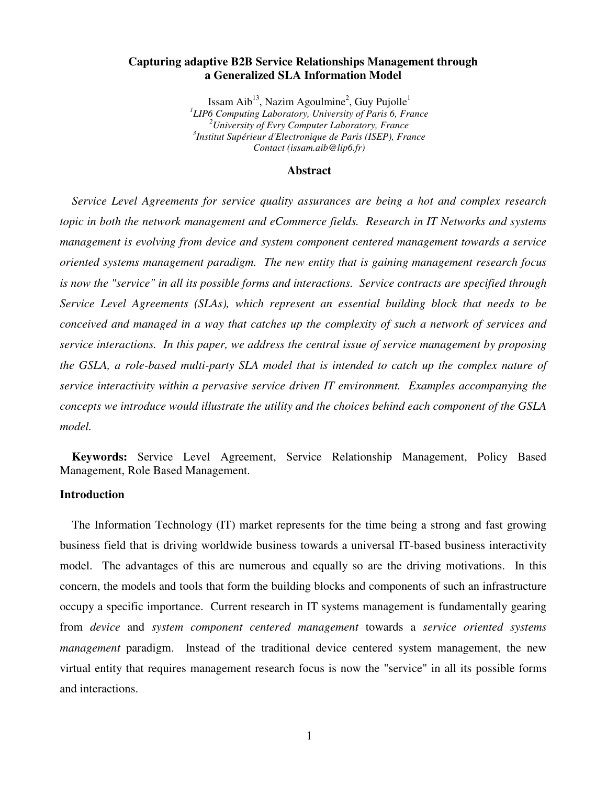## **Capturing adaptive B2B Service Relationships Management through a Generalized SLA Information Model**

Issam Aib $^{13}$ , Nazim Agoulmine<sup>2</sup>, Guy Pujolle<sup>1</sup> *1 LIP6 Computing Laboratory, University of Paris 6, France <sup>2</sup>University of Evry Computer Laboratory, France 3 Institut Supérieur d'Electronique de Paris (ISEP), France Contact (issam.aib@lip6.fr)*

#### **Abstract**

*Service Level Agreements for service quality assurances are being a hot and complex research topic in both the network management and eCommerce fields. Research in IT Networks and systems management is evolving from device and system component centered management towards a service oriented systems management paradigm. The new entity that is gaining management research focus is now the "service" in all its possible forms and interactions. Service contracts are specified through Service Level Agreements (SLAs), which represent an essential building block that needs to be conceived and managed in a way that catches up the complexity of such a network of services and service interactions. In this paper, we address the central issue of service management by proposing the GSLA, a role-based multi-party SLA model that is intended to catch up the complex nature of service interactivity within a pervasive service driven IT environment. Examples accompanying the concepts we introduce would illustrate the utility and the choices behind each component of the GSLA model.*

**Keywords:** Service Level Agreement, Service Relationship Management, Policy Based Management, Role Based Management.

## **Introduction**

The Information Technology (IT) market represents for the time being a strong and fast growing business field that is driving worldwide business towards a universal IT-based business interactivity model. The advantages of this are numerous and equally so are the driving motivations. In this concern, the models and tools that form the building blocks and components of such an infrastructure occupy a specific importance. Current research in IT systems management is fundamentally gearing from *device* and *system component centered management* towards a *service oriented systems management* paradigm. Instead of the traditional device centered system management, the new virtual entity that requires management research focus is now the "service" in all its possible forms and interactions.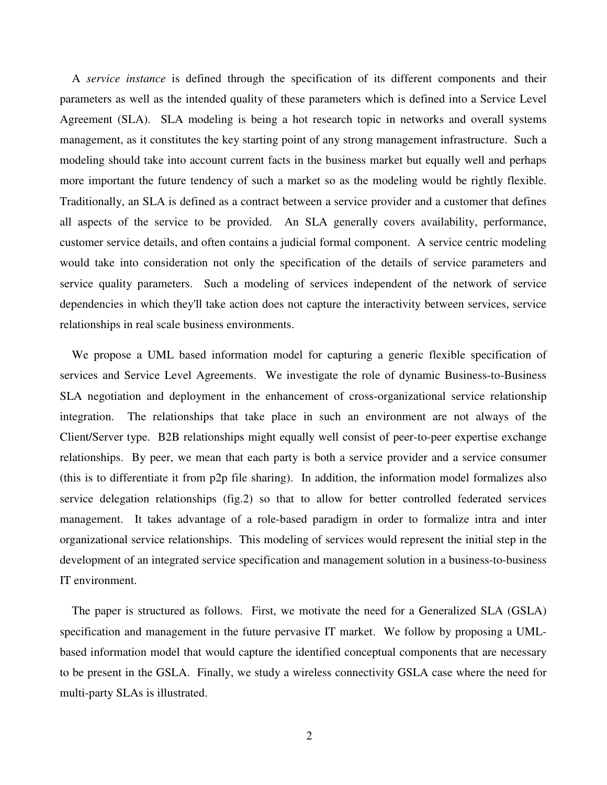A *service instance* is defined through the specification of its different components and their parameters as well as the intended quality of these parameters which is defined into a Service Level Agreement (SLA). SLA modeling is being a hot research topic in networks and overall systems management, as it constitutes the key starting point of any strong management infrastructure. Such a modeling should take into account current facts in the business market but equally well and perhaps more important the future tendency of such a market so as the modeling would be rightly flexible. Traditionally, an SLA is defined as a contract between a service provider and a customer that defines all aspects of the service to be provided. An SLA generally covers availability, performance, customer service details, and often contains a judicial formal component. A service centric modeling would take into consideration not only the specification of the details of service parameters and service quality parameters. Such a modeling of services independent of the network of service dependencies in which they'll take action does not capture the interactivity between services, service relationships in real scale business environments.

We propose a UML based information model for capturing a generic flexible specification of services and Service Level Agreements. We investigate the role of dynamic Business-to-Business SLA negotiation and deployment in the enhancement of cross-organizational service relationship integration. The relationships that take place in such an environment are not always of the Client/Server type. B2B relationships might equally well consist of peer-to-peer expertise exchange relationships. By peer, we mean that each party is both a service provider and a service consumer (this is to differentiate it from p2p file sharing). In addition, the information model formalizes also service delegation relationships (fig.2) so that to allow for better controlled federated services management. It takes advantage of a role-based paradigm in order to formalize intra and inter organizational service relationships. This modeling of services would represent the initial step in the development of an integrated service specification and management solution in a business-to-business IT environment.

The paper is structured as follows. First, we motivate the need for a Generalized SLA (GSLA) specification and management in the future pervasive IT market. We follow by proposing a UMLbased information model that would capture the identified conceptual components that are necessary to be present in the GSLA. Finally, we study a wireless connectivity GSLA case where the need for multi-party SLAs is illustrated.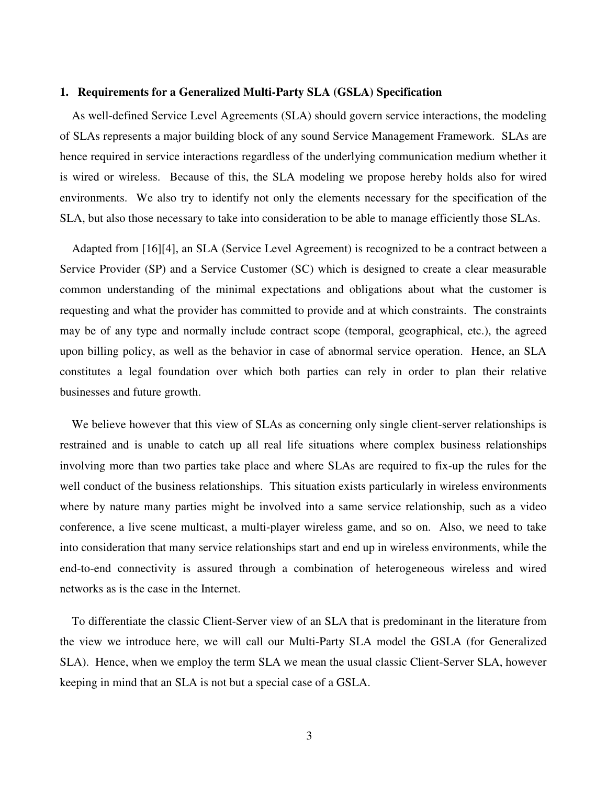## **1. Requirements for a Generalized Multi-Party SLA (GSLA) Specification**

As well-defined Service Level Agreements (SLA) should govern service interactions, the modeling of SLAs represents a major building block of any sound Service Management Framework. SLAs are hence required in service interactions regardless of the underlying communication medium whether it is wired or wireless. Because of this, the SLA modeling we propose hereby holds also for wired environments. We also try to identify not only the elements necessary for the specification of the SLA, but also those necessary to take into consideration to be able to manage efficiently those SLAs.

Adapted from [16][4], an SLA (Service Level Agreement) is recognized to be a contract between a Service Provider (SP) and a Service Customer (SC) which is designed to create a clear measurable common understanding of the minimal expectations and obligations about what the customer is requesting and what the provider has committed to provide and at which constraints. The constraints may be of any type and normally include contract scope (temporal, geographical, etc.), the agreed upon billing policy, as well as the behavior in case of abnormal service operation. Hence, an SLA constitutes a legal foundation over which both parties can rely in order to plan their relative businesses and future growth.

We believe however that this view of SLAs as concerning only single client-server relationships is restrained and is unable to catch up all real life situations where complex business relationships involving more than two parties take place and where SLAs are required to fix-up the rules for the well conduct of the business relationships. This situation exists particularly in wireless environments where by nature many parties might be involved into a same service relationship, such as a video conference, a live scene multicast, a multi-player wireless game, and so on. Also, we need to take into consideration that many service relationships start and end up in wireless environments, while the end-to-end connectivity is assured through a combination of heterogeneous wireless and wired networks as is the case in the Internet.

To differentiate the classic Client-Server view of an SLA that is predominant in the literature from the view we introduce here, we will call our Multi-Party SLA model the GSLA (for Generalized SLA). Hence, when we employ the term SLA we mean the usual classic Client-Server SLA, however keeping in mind that an SLA is not but a special case of a GSLA.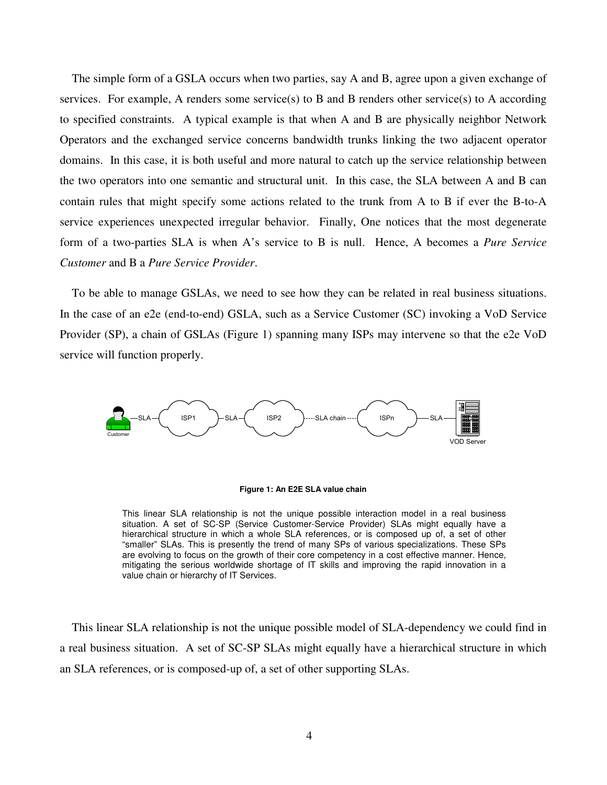The simple form of a GSLA occurs when two parties, say A and B, agree upon a given exchange of services. For example, A renders some service(s) to B and B renders other service(s) to A according to specified constraints. A typical example is that when A and B are physically neighbor Network Operators and the exchanged service concerns bandwidth trunks linking the two adjacent operator domains. In this case, it is both useful and more natural to catch up the service relationship between the two operators into one semantic and structural unit. In this case, the SLA between A and B can contain rules that might specify some actions related to the trunk from A to B if ever the B-to-A service experiences unexpected irregular behavior. Finally, One notices that the most degenerate form of a two-parties SLA is when A's service to B is null. Hence, A becomes a *Pure Service Customer* and B a *Pure Service Provider*.

To be able to manage GSLAs, we need to see how they can be related in real business situations. In the case of an e2e (end-to-end) GSLA, such as a Service Customer (SC) invoking a VoD Service Provider (SP), a chain of GSLAs (Figure 1) spanning many ISPs may intervene so that the e2e VoD service will function properly.





This linear SLA relationship is not the unique possible interaction model in a real business situation. A set of SC-SP (Service Customer-Service Provider) SLAs might equally have a hierarchical structure in which a whole SLA references, or is composed up of, a set of other "smaller" SLAs. This is presently the trend of many SPs of various specializations. These SPs are evolving to focus on the growth of their core competency in a cost effective manner. Hence, mitigating the serious worldwide shortage of IT skills and improving the rapid innovation in a value chain or hierarchy of IT Services.

This linear SLA relationship is not the unique possible model of SLA-dependency we could find in a real business situation. A set of SC-SP SLAs might equally have a hierarchical structure in which an SLA references, or is composed-up of, a set of other supporting SLAs.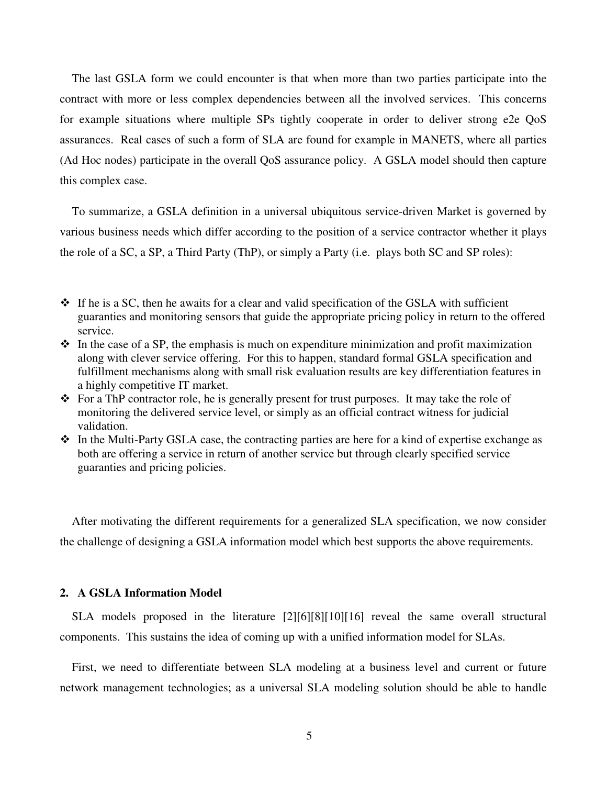The last GSLA form we could encounter is that when more than two parties participate into the contract with more or less complex dependencies between all the involved services. This concerns for example situations where multiple SPs tightly cooperate in order to deliver strong e2e QoS assurances. Real cases of such a form of SLA are found for example in MANETS, where all parties (Ad Hoc nodes) participate in the overall QoS assurance policy. A GSLA model should then capture this complex case.

To summarize, a GSLA definition in a universal ubiquitous service-driven Market is governed by various business needs which differ according to the position of a service contractor whether it plays the role of a SC, a SP, a Third Party (ThP), or simply a Party (i.e. plays both SC and SP roles):

- $\cdot$  In the case of a SP, the emphasis is much on expenditure minimization and profit maximization along with clever service offering. For this to happen, standard formal GSLA specification and fulfillment mechanisms along with small risk evaluation results are key differentiation features in a highly competitive IT market.
- $\triangle$  For a ThP contractor role, he is generally present for trust purposes. It may take the role of monitoring the delivered service level, or simply as an official contract witness for judicial validation.
- $\cdot$  In the Multi-Party GSLA case, the contracting parties are here for a kind of expertise exchange as both are offering a service in return of another service but through clearly specified service guaranties and pricing policies.

After motivating the different requirements for a generalized SLA specification, we now consider the challenge of designing a GSLA information model which best supports the above requirements.

## **2. A GSLA Information Model**

SLA models proposed in the literature [2][6][8][10][16] reveal the same overall structural components. This sustains the idea of coming up with a unified information model for SLAs.

First, we need to differentiate between SLA modeling at a business level and current or future network management technologies; as a universal SLA modeling solution should be able to handle

 $\div$  If he is a SC, then he awaits for a clear and valid specification of the GSLA with sufficient guaranties and monitoring sensors that guide the appropriate pricing policy in return to the offered service.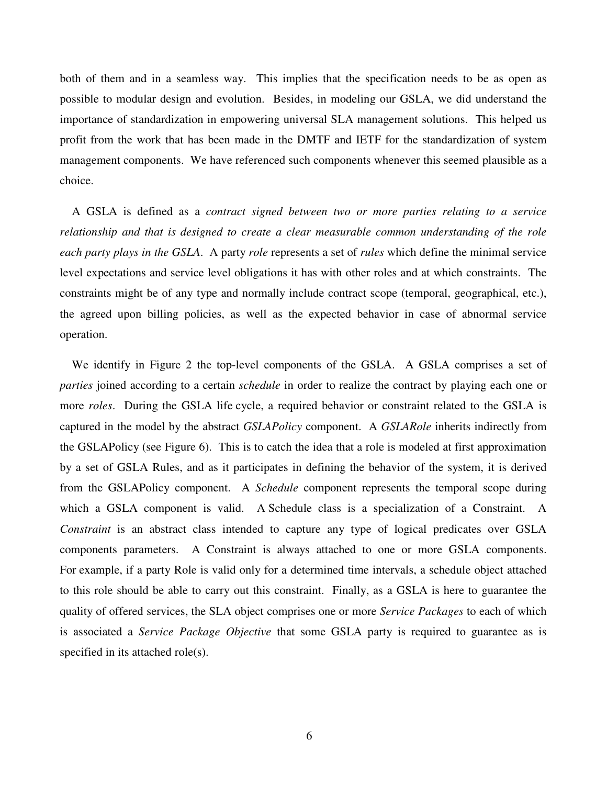both of them and in a seamless way. This implies that the specification needs to be as open as possible to modular design and evolution. Besides, in modeling our GSLA, we did understand the importance of standardization in empowering universal SLA management solutions. This helped us profit from the work that has been made in the DMTF and IETF for the standardization of system management components. We have referenced such components whenever this seemed plausible as a choice.

A GSLA is defined as a *contract signed between two or more parties relating to a service relationship and that is designed to create a clear measurable common understanding of the role each party plays in the GSLA*. A party *role* represents a set of *rules* which define the minimal service level expectations and service level obligations it has with other roles and at which constraints. The constraints might be of any type and normally include contract scope (temporal, geographical, etc.), the agreed upon billing policies, as well as the expected behavior in case of abnormal service operation.

We identify in Figure 2 the top-level components of the GSLA. A GSLA comprises a set of *parties* joined according to a certain *schedule* in order to realize the contract by playing each one or more *roles*. During the GSLA life cycle, a required behavior or constraint related to the GSLA is captured in the model by the abstract *GSLAPolicy* component. A *GSLARole* inherits indirectly from the GSLAPolicy (see Figure 6). This is to catch the idea that a role is modeled at first approximation by a set of GSLA Rules, and as it participates in defining the behavior of the system, it is derived from the GSLAPolicy component. A *Schedule* component represents the temporal scope during which a GSLA component is valid. A Schedule class is a specialization of a Constraint. A *Constraint* is an abstract class intended to capture any type of logical predicates over GSLA components parameters. A Constraint is always attached to one or more GSLA components. For example, if a party Role is valid only for a determined time intervals, a schedule object attached to this role should be able to carry out this constraint. Finally, as a GSLA is here to guarantee the quality of offered services, the SLA object comprises one or more *Service Packages* to each of which is associated a *Service Package Objective* that some GSLA party is required to guarantee as is specified in its attached role(s).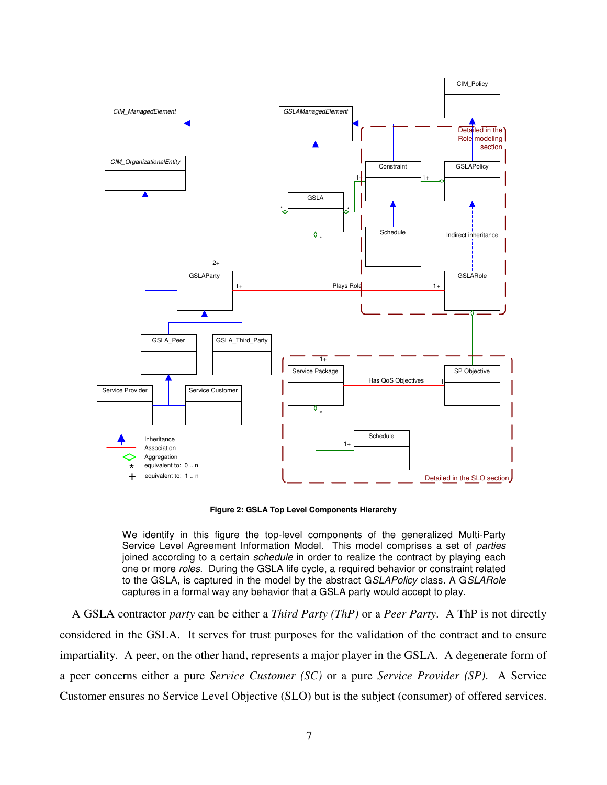

**Figure 2: GSLA Top Level Components Hierarchy**

We identify in this figure the top-level components of the generalized Multi-Party Service Level Agreement Information Model. This model comprises a set of *parties* joined according to a certain *schedule* in order to realize the contract by playing each one or more *roles*. During the GSLA life cycle, a required behavior or constraint related to the GSLA, is captured in the model by the abstract G*SLAPolicy* class. A G*SLARole* captures in a formal way any behavior that a GSLA party would accept to play.

A GSLA contractor *party* can be either a *Third Party (ThP)* or a *Peer Party*. A ThP is not directly considered in the GSLA. It serves for trust purposes for the validation of the contract and to ensure impartiality. A peer, on the other hand, represents a major player in the GSLA. A degenerate form of a peer concerns either a pure *Service Customer (SC)* or a pure *Service Provider (SP)*. A Service Customer ensures no Service Level Objective (SLO) but is the subject (consumer) of offered services.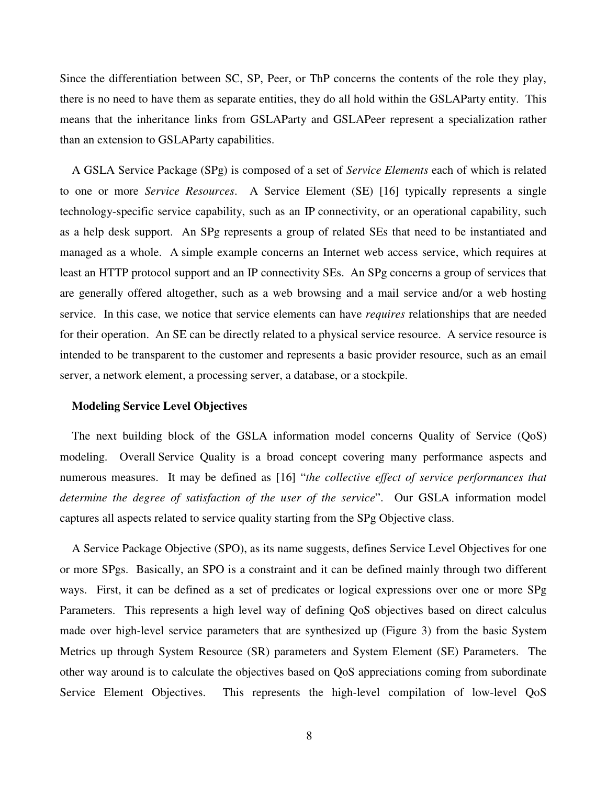Since the differentiation between SC, SP, Peer, or ThP concerns the contents of the role they play, there is no need to have them as separate entities, they do all hold within the GSLAParty entity. This means that the inheritance links from GSLAParty and GSLAPeer represent a specialization rather than an extension to GSLAParty capabilities.

A GSLA Service Package (SPg) is composed of a set of *Service Elements* each of which is related to one or more *Service Resources*. A Service Element (SE) [16] typically represents a single technology-specific service capability, such as an IP connectivity, or an operational capability, such as a help desk support. An SPg represents a group of related SEs that need to be instantiated and managed as a whole. A simple example concerns an Internet web access service, which requires at least an HTTP protocol support and an IP connectivity SEs. An SPg concerns a group of services that are generally offered altogether, such as a web browsing and a mail service and/or a web hosting service. In this case, we notice that service elements can have *requires* relationships that are needed for their operation. An SE can be directly related to a physical service resource. A service resource is intended to be transparent to the customer and represents a basic provider resource, such as an email server, a network element, a processing server, a database, or a stockpile.

### **Modeling Service Level Objectives**

The next building block of the GSLA information model concerns Quality of Service (QoS) modeling. Overall Service Quality is a broad concept covering many performance aspects and numerous measures. It may be defined as [16] "*the collective effect of service performances that determine the degree of satisfaction of the user of the service*". Our GSLA information model captures all aspects related to service quality starting from the SPg Objective class.

A Service Package Objective (SPO), as its name suggests, defines Service Level Objectives for one or more SPgs. Basically, an SPO is a constraint and it can be defined mainly through two different ways. First, it can be defined as a set of predicates or logical expressions over one or more SPg Parameters. This represents a high level way of defining QoS objectives based on direct calculus made over high-level service parameters that are synthesized up (Figure 3) from the basic System Metrics up through System Resource (SR) parameters and System Element (SE) Parameters. The other way around is to calculate the objectives based on QoS appreciations coming from subordinate Service Element Objectives. This represents the high-level compilation of low-level QoS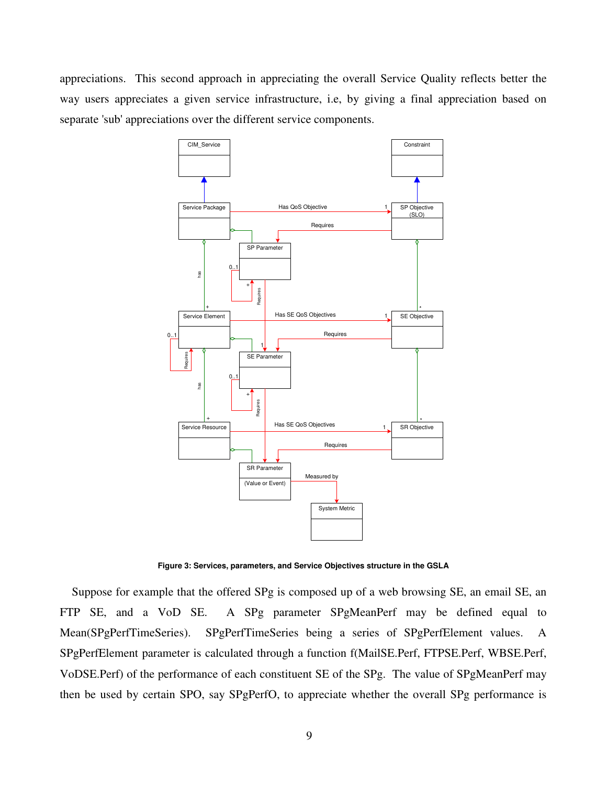appreciations. This second approach in appreciating the overall Service Quality reflects better the way users appreciates a given service infrastructure, i.e, by giving a final appreciation based on separate 'sub' appreciations over the different service components.



**Figure 3: Services, parameters, and Service Objectives structure in the GSLA**

Suppose for example that the offered SPg is composed up of a web browsing SE, an email SE, an FTP SE, and a VoD SE. A SPg parameter SPgMeanPerf may be defined equal to Mean(SPgPerfTimeSeries). SPgPerfTimeSeries being a series of SPgPerfElement values. A SPgPerfElement parameter is calculated through a function f(MailSE.Perf, FTPSE.Perf, WBSE.Perf, VoDSE.Perf) of the performance of each constituent SE of the SPg. The value of SPgMeanPerf may then be used by certain SPO, say SPgPerfO, to appreciate whether the overall SPg performance is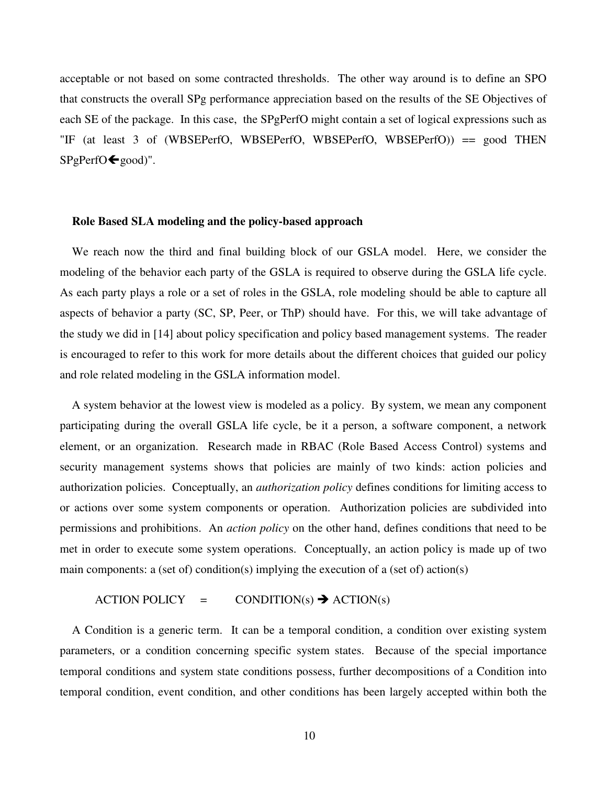acceptable or not based on some contracted thresholds. The other way around is to define an SPO that constructs the overall SPg performance appreciation based on the results of the SE Objectives of each SE of the package. In this case, the SPgPerfO might contain a set of logical expressions such as "IF (at least 3 of (WBSEPerfO, WBSEPerfO, WBSEPerfO, WBSEPerfO)) == good THEN  $SPgPerfO \bigoplus_{\text{good}}$ ".

#### **Role Based SLA modeling and the policy-based approach**

We reach now the third and final building block of our GSLA model. Here, we consider the modeling of the behavior each party of the GSLA is required to observe during the GSLA life cycle. As each party plays a role or a set of roles in the GSLA, role modeling should be able to capture all aspects of behavior a party (SC, SP, Peer, or ThP) should have. For this, we will take advantage of the study we did in [14] about policy specification and policy based management systems. The reader is encouraged to refer to this work for more details about the different choices that guided our policy and role related modeling in the GSLA information model.

A system behavior at the lowest view is modeled as a policy. By system, we mean any component participating during the overall GSLA life cycle, be it a person, a software component, a network element, or an organization. Research made in RBAC (Role Based Access Control) systems and security management systems shows that policies are mainly of two kinds: action policies and authorization policies. Conceptually, an *authorization policy* defines conditions for limiting access to or actions over some system components or operation. Authorization policies are subdivided into permissions and prohibitions. An *action policy* on the other hand, defines conditions that need to be met in order to execute some system operations. Conceptually, an action policy is made up of two main components: a (set of) condition(s) implying the execution of a (set of) action(s)

#### $\text{ACTION POLICY} = \text{CONDITION(s)} \rightarrow \text{ACTION(s)}$

A Condition is a generic term. It can be a temporal condition, a condition over existing system parameters, or a condition concerning specific system states. Because of the special importance temporal conditions and system state conditions possess, further decompositions of a Condition into temporal condition, event condition, and other conditions has been largely accepted within both the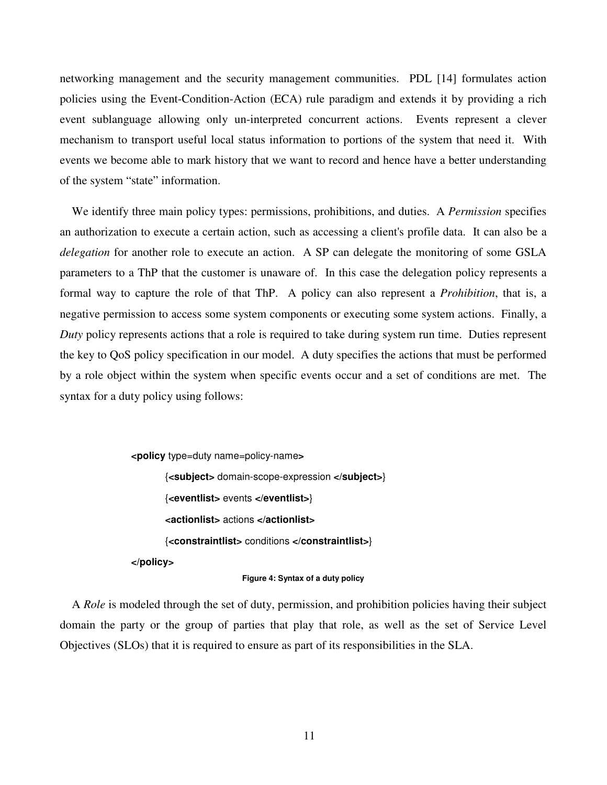networking management and the security management communities. PDL [14] formulates action policies using the Event-Condition-Action (ECA) rule paradigm and extends it by providing a rich event sublanguage allowing only un-interpreted concurrent actions. Events represent a clever mechanism to transport useful local status information to portions of the system that need it. With events we become able to mark history that we want to record and hence have a better understanding of the system "state" information.

We identify three main policy types: permissions, prohibitions, and duties. A *Permission* specifies an authorization to execute a certain action, such as accessing a client's profile data. It can also be a *delegation* for another role to execute an action. A SP can delegate the monitoring of some GSLA parameters to a ThP that the customer is unaware of. In this case the delegation policy represents a formal way to capture the role of that ThP. A policy can also represent a *Prohibition*, that is, a negative permission to access some system components or executing some system actions. Finally, a *Duty* policy represents actions that a role is required to take during system run time. Duties represent the key to QoS policy specification in our model. A duty specifies the actions that must be performed by a role object within the system when specific events occur and a set of conditions are met. The syntax for a duty policy using follows:

> **<policy** type=duty name=policy-name**>** {**<subject>** domain-scope-expression **</subject>**} {**<eventlist>** events **</eventlist>**} **<actionlist>** actions **</actionlist>** {**<constraintlist>** conditions **</constraintlist>**} **</policy>**

#### **Figure 4: Syntax of a duty policy**

A *Role* is modeled through the set of duty, permission, and prohibition policies having their subject domain the party or the group of parties that play that role, as well as the set of Service Level Objectives (SLOs) that it is required to ensure as part of its responsibilities in the SLA.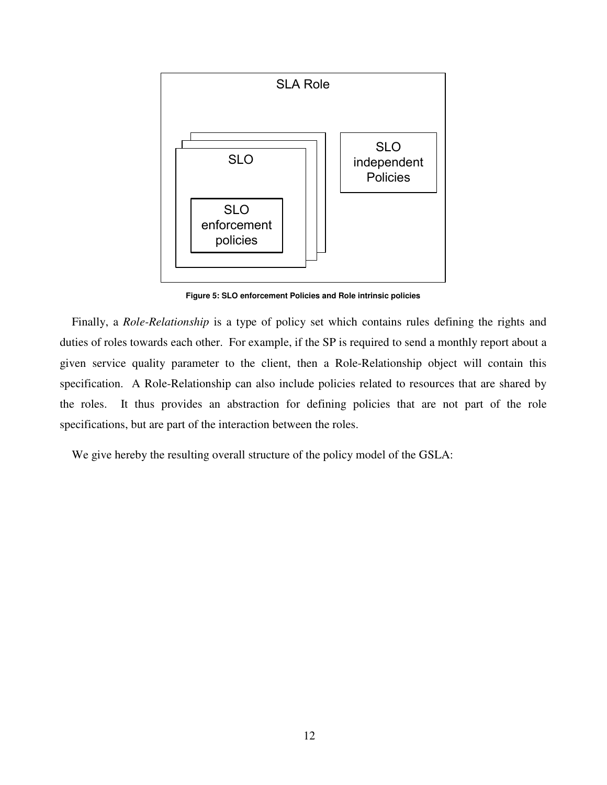

**Figure 5: SLO enforcement Policies and Role intrinsic policies**

Finally, a *Role-Relationship* is a type of policy set which contains rules defining the rights and duties of roles towards each other. For example, if the SP is required to send a monthly report about a given service quality parameter to the client, then a Role-Relationship object will contain this specification. A Role-Relationship can also include policies related to resources that are shared by the roles. It thus provides an abstraction for defining policies that are not part of the role specifications, but are part of the interaction between the roles.

We give hereby the resulting overall structure of the policy model of the GSLA: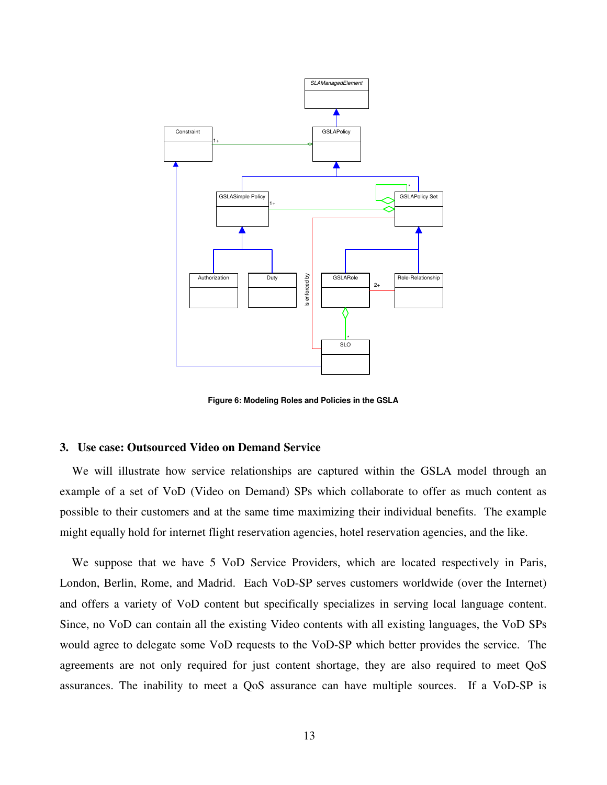

**Figure 6: Modeling Roles and Policies in the GSLA**

#### **3. Use case: Outsourced Video on Demand Service**

We will illustrate how service relationships are captured within the GSLA model through an example of a set of VoD (Video on Demand) SPs which collaborate to offer as much content as possible to their customers and at the same time maximizing their individual benefits. The example might equally hold for internet flight reservation agencies, hotel reservation agencies, and the like.

We suppose that we have 5 VoD Service Providers, which are located respectively in Paris, London, Berlin, Rome, and Madrid. Each VoD-SP serves customers worldwide (over the Internet) and offers a variety of VoD content but specifically specializes in serving local language content. Since, no VoD can contain all the existing Video contents with all existing languages, the VoD SPs would agree to delegate some VoD requests to the VoD-SP which better provides the service. The agreements are not only required for just content shortage, they are also required to meet QoS assurances. The inability to meet a QoS assurance can have multiple sources. If a VoD-SP is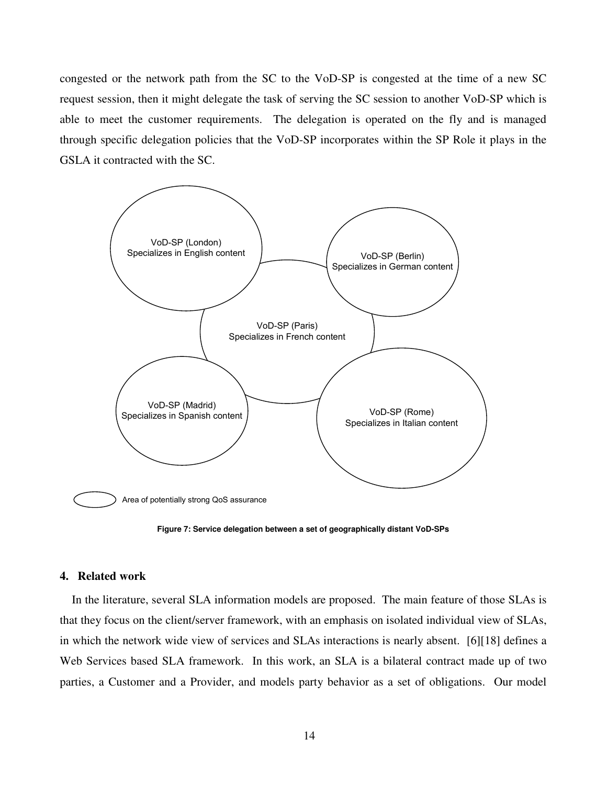congested or the network path from the SC to the VoD-SP is congested at the time of a new SC request session, then it might delegate the task of serving the SC session to another VoD-SP which is able to meet the customer requirements. The delegation is operated on the fly and is managed through specific delegation policies that the VoD-SP incorporates within the SP Role it plays in the GSLA it contracted with the SC.



**Figure 7: Service delegation between a set of geographically distant VoD-SPs**

#### **4. Related work**

In the literature, several SLA information models are proposed. The main feature of those SLAs is that they focus on the client/server framework, with an emphasis on isolated individual view of SLAs, in which the network wide view of services and SLAs interactions is nearly absent. [6][18] defines a Web Services based SLA framework. In this work, an SLA is a bilateral contract made up of two parties, a Customer and a Provider, and models party behavior as a set of obligations. Our model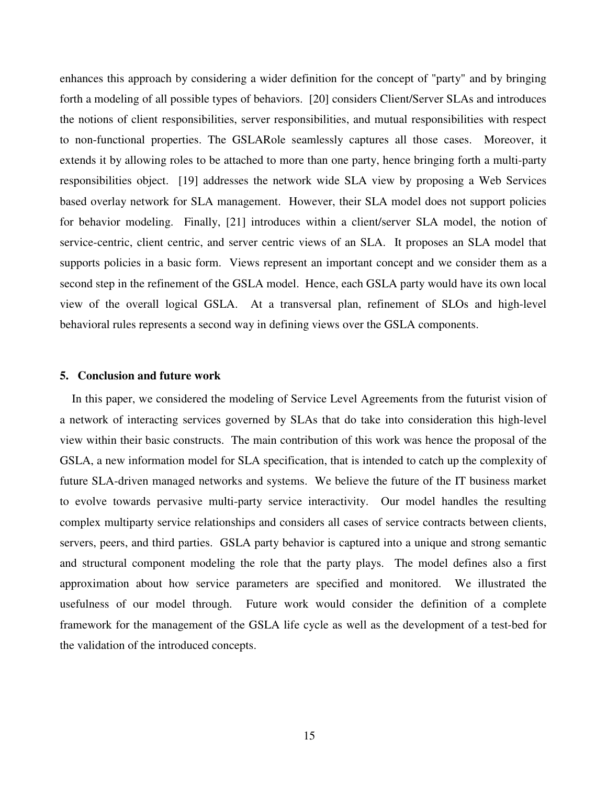enhances this approach by considering a wider definition for the concept of "party" and by bringing forth a modeling of all possible types of behaviors. [20] considers Client/Server SLAs and introduces the notions of client responsibilities, server responsibilities, and mutual responsibilities with respect to non-functional properties. The GSLARole seamlessly captures all those cases. Moreover, it extends it by allowing roles to be attached to more than one party, hence bringing forth a multi-party responsibilities object. [19] addresses the network wide SLA view by proposing a Web Services based overlay network for SLA management. However, their SLA model does not support policies for behavior modeling. Finally, [21] introduces within a client/server SLA model, the notion of service-centric, client centric, and server centric views of an SLA. It proposes an SLA model that supports policies in a basic form. Views represent an important concept and we consider them as a second step in the refinement of the GSLA model. Hence, each GSLA party would have its own local view of the overall logical GSLA. At a transversal plan, refinement of SLOs and high-level behavioral rules represents a second way in defining views over the GSLA components.

### **5. Conclusion and future work**

In this paper, we considered the modeling of Service Level Agreements from the futurist vision of a network of interacting services governed by SLAs that do take into consideration this high-level view within their basic constructs. The main contribution of this work was hence the proposal of the GSLA, a new information model for SLA specification, that is intended to catch up the complexity of future SLA-driven managed networks and systems. We believe the future of the IT business market to evolve towards pervasive multi-party service interactivity. Our model handles the resulting complex multiparty service relationships and considers all cases of service contracts between clients, servers, peers, and third parties. GSLA party behavior is captured into a unique and strong semantic and structural component modeling the role that the party plays. The model defines also a first approximation about how service parameters are specified and monitored. We illustrated the usefulness of our model through. Future work would consider the definition of a complete framework for the management of the GSLA life cycle as well as the development of a test-bed for the validation of the introduced concepts.